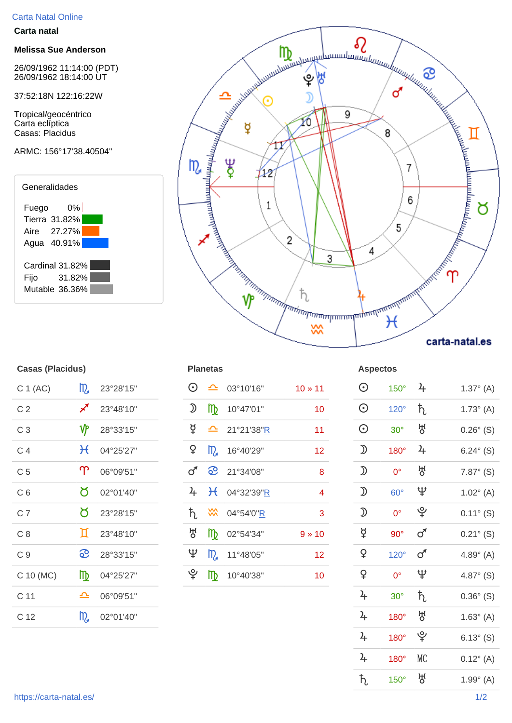## Carta Natal Online

## **Carta natal**

## **Melissa Sue Anderson**

26/09/1962 11:14:00 (PDT) 26/09/1962 18:14:00 UT

37:52:18N 122:16:22W

Tropical/geocéntrico Carta eclíptica Casas: Placidus

## ARMC: 156°17'38.40504"





| <b>Casas (Placidus)</b> |           |                                                                                                         |                   |            |                         | <b>Aspectos</b> |                |
|-------------------------|-----------|---------------------------------------------------------------------------------------------------------|-------------------|------------|-------------------------|-----------------|----------------|
| m                       | 23°28'15" | $\odot$                                                                                                 | $\mathbf{r}$      | 03°10'16"  | $10 \times 11$          | $\odot$         | 15             |
| ∕                       | 23°48'10" | $\mathfrak{D}% _{T}=\mathfrak{D}_{T}\!\left( a,b\right) ,\ \mathfrak{D}_{T}=C_{T}\!\left( a,b\right) ,$ | $\mathbb{D}$      | 10°47'01"  | 10                      | $\odot$         | 12             |
| $\mathbf{\hat{y}}$      | 28°33'15" | ₫                                                                                                       | ≏                 | 21°21'38"R | 11                      | $\odot$         | 3 <sup>0</sup> |
| $\mathcal{H}$           | 04°25'27" | ¥                                                                                                       | m <sub>a</sub>    | 16°40'29"  | 12                      | $\mathfrak D$   | 18             |
| $\Upsilon$              | 06°09'51" | ♂                                                                                                       | <u>ေ</u>          | 21°34'08"  | 8                       | $\mathfrak D$   | C              |
| Ծ                       | 02°01'40" | $\frac{1}{2}$                                                                                           | $H_{\mathcal{E}}$ | 04°32'39"R | $\overline{\mathbf{4}}$ | $\mathfrak D$   | 6 <sup>0</sup> |
| ୪                       | 23°28'15" | ħ                                                                                                       | $\frac{2}{3}$     | 04°54'0"R  | 3                       | $\mathfrak{D}$  | C              |
| Д                       | 23°48'10" | 성                                                                                                       | $\mathbb{D}$      | 02°54'34"  | $9 * 10$                | ¥               | 9              |
| <u>ေ</u>                | 28°33'15" | Ψ                                                                                                       | m                 | 11°48'05"  | 12                      | $\mathsf{P}$    | 12             |
| $\mathbb{D}$            | 04°25'27" | ပ္                                                                                                      | $\mathbb{D}$      | 10°40'38"  | 10                      | $\mathsf{P}$    | C              |
| ᅀ                       | 06°09'51" |                                                                                                         |                   |            |                         | $\frac{1}{2}$   | 3 <sup>0</sup> |
| m                       | 02°01'40" |                                                                                                         |                   |            |                         | $\frac{1}{2}$   | 18             |
|                         |           |                                                                                                         |                   |            | <b>Planetas</b>         |                 |                |

| C 1 (AC)       | $m_a$                      | 23°28'15"               | $\odot$       |              | $\triangle$ 03°10'16"                                     | $10 * 11$       | $\odot$          | $150^\circ$ | $\frac{1}{2}$   | $1.37^{\circ}$ (A)  |
|----------------|----------------------------|-------------------------|---------------|--------------|-----------------------------------------------------------|-----------------|------------------|-------------|-----------------|---------------------|
| C <sub>2</sub> | $\boldsymbol{\mathscr{J}}$ | 23°48'10"               | ⅅ             |              | $\ln 10^{\circ}47'01''$                                   | 10 <sub>1</sub> | $\odot$          | $120^\circ$ | $\hbar$         | $1.73^{\circ}$ (A)  |
| C <sub>3</sub> | ₩                          | 28°33'15"               | ₫             |              | $\triangle$ 21°21'38" R                                   | 11              | $\odot$          | $30^\circ$  | ਲ੍ਹ             | $0.26^{\circ}$ (S)  |
| C <sub>4</sub> |                            | $H_{04^{\circ}25'27''}$ | $\mathsf{P}$  |              | $\frac{10}{2}$ 16°40'29"                                  | 12 <sub>2</sub> | $\mathfrak D$    | $180^\circ$ | $\frac{2}{\pi}$ | 6.24 $^{\circ}$ (S) |
| C <sub>5</sub> | $\Upsilon$                 | 06°09'51"               | $\sigma$      |              | <b>C</b> 21°34'08"                                        | 8               | $\mathfrak D$    | $0^{\circ}$ | ਲ੍ਹ             | $7.87^{\circ}$ (S)  |
| C <sub>6</sub> | Ծ                          | 02°01'40"               | $\frac{1}{2}$ |              | $H_{04^{\circ}32'39"R}$                                   | 4               | $\mathfrak D$    | $60^\circ$  | Ψ               | $1.02^{\circ}$ (A)  |
| C <sub>7</sub> | ୪.                         | 23°28'15"               |               |              | $\frac{1}{2}$ $\frac{1}{2}$ $04^{\circ}54'0''\frac{R}{R}$ | 3               | $\mathfrak D$    | $0^{\circ}$ | ೪               | $0.11^{\circ}$ (S)  |
| C8             | П                          | 23°48'10"               | ਲ੍ਹ           |              | $\frac{m}{2}$ 02°54'34"                                   | $9 * 10$        | $\breve{\sigma}$ | $90^\circ$  | $\sigma$        | $0.21^{\circ}$ (S)  |
| C <sub>9</sub> | <u>ေ</u>                   | 28°33'15"               | Ψ             |              | $\frac{10}{2}$ 11°48'05"                                  | 12 <sub>2</sub> | $\mathsf{P}$     | $120^\circ$ | $\sigma$        | 4.89 $^{\circ}$ (A) |
| C 10 (MC)      | $\mathbb{D}$               | 04°25'27"               | ೪             | $\mathbb{D}$ | 10°40'38"                                                 | 10 <sub>1</sub> | $\mathsf{P}$     | $0^{\circ}$ | Ψ               | 4.87 $^{\circ}$ (S) |
|                |                            |                         |               |              |                                                           |                 |                  |             |                 |                     |

| C 1 (AC)        | m                  | 23°28'15" | $\odot$                                                                                                 | ᅀ             | 03°10'16"  | $10 \times 11$  | $\odot$                                                                                                 | $150^\circ$ | $\frac{1}{2}$  | $1.37^{\circ}$ (A) |
|-----------------|--------------------|-----------|---------------------------------------------------------------------------------------------------------|---------------|------------|-----------------|---------------------------------------------------------------------------------------------------------|-------------|----------------|--------------------|
| C <sub>2</sub>  | ∕                  | 23°48'10" | $\mathfrak{D}% _{T}=\mathfrak{D}_{T}\!\left( a,b\right) ,\ \mathfrak{D}_{T}=C_{T}\!\left( a,b\right) ,$ | m             | 10°47'01"  | 10 <sub>1</sub> | $\odot$                                                                                                 | $120^\circ$ | ħ,             | $1.73^{\circ}$ (A) |
| C <sub>3</sub>  | $\mathbf{\hat{y}}$ | 28°33'15" | $\beta$                                                                                                 | ᅀ             | 21°21'38"R | 11              | $\odot$                                                                                                 | $30^\circ$  | 생              | $0.26^{\circ}$ (S) |
| C <sub>4</sub>  | $\mathcal{H}$      | 04°25'27" | $\mathsf{P}$                                                                                            | m             | 16°40'29"  | 12 <sub>2</sub> | $\mathfrak D$                                                                                           | 180°        | $\frac{1}{2}$  | $6.24^{\circ}$ (S) |
| C <sub>5</sub>  | $\Upsilon$         | 06°09'51" | $\sigma$                                                                                                | <u>ေ</u>      | 21°34'08"  | 8               | $\mathfrak{D}% _{T}=\mathfrak{D}_{T}\!\left( a,b\right) ,\ \mathfrak{D}_{T}=C_{T}\!\left( a,b\right) ,$ | $0^{\circ}$ | ਲ੍ਹ            | $7.87^{\circ}$ (S) |
| C <sub>6</sub>  | ୪                  | 02°01'40" | $\frac{1}{2}$                                                                                           | $\mathcal{H}$ | 04°32'39"R | $\overline{4}$  | $\mathfrak D$                                                                                           | $60^\circ$  | $\mathfrak{P}$ | $1.02^{\circ}$ (A) |
| C <sub>7</sub>  | ୪                  | 23°28'15" | $\hbar$                                                                                                 | $\frac{2}{3}$ | 04°54'0"R  | 3               | $\mathfrak D$                                                                                           | $0^{\circ}$ | ပ္             | $0.11^{\circ}$ (S) |
| C8              | Д                  | 23°48'10" | 생                                                                                                       | $\mathbb{D}$  | 02°54'34"  | $9 * 10$        | $\breve{\mathrm{A}}$                                                                                    | $90^\circ$  | $\sigma$       | $0.21^{\circ}$ (S) |
| C <sub>9</sub>  | <u>ေ</u>           | 28°33'15" | $\mathfrak{P}$                                                                                          | m             | 11°48'05"  | 12              | $\mathsf{P}$                                                                                            | $120^\circ$ | $\sigma$       | $4.89^{\circ}$ (A) |
| C 10 (MC)       | m                  | 04°25'27" | ᢩৼ                                                                                                      | m             | 10°40'38"  | 10 <sub>1</sub> | $\mathsf{P}$                                                                                            | $0^{\circ}$ | $\mathfrak{P}$ | $4.87^{\circ}$ (S) |
| C <sub>11</sub> | ᅀ                  | 06°09'51" |                                                                                                         |               |            |                 | $\frac{1}{2}$                                                                                           | $30^\circ$  | $\hbar$        | $0.36^{\circ}$ (S) |
| C <sub>12</sub> | m                  | 02°01'40" |                                                                                                         |               |            |                 | $\frac{1}{2}$                                                                                           | $180^\circ$ | 생              | $1.63^{\circ}$ (A) |
|                 |                    |           |                                                                                                         |               |            |                 | $\frac{2}{\pi}$                                                                                         | $180^\circ$ | ೪              | $6.13^{\circ}$ (S) |
|                 |                    |           |                                                                                                         |               |            |                 | $\frac{1}{2}$                                                                                           | 180°        | <b>MC</b>      | $0.12^{\circ}$ (A) |
|                 |                    |           |                                                                                                         |               |            |                 | $\hbar$                                                                                                 | $150^\circ$ | ਲ੍ਹ            | $1.99^{\circ}$ (A) |
|                 |                    |           |                                                                                                         |               |            |                 |                                                                                                         |             |                |                    |